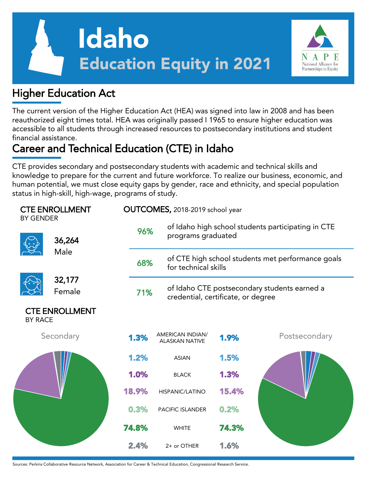



#### Higher Education Act

The current version of the Higher Education Act (HEA) was signed into law in 2008 and has been reauthorized eight times total. HEA was originally passed I 1965 to ensure higher education was accessible to all students through increased resources to postsecondary institutions and student financial assistance.

# Career and Technical Education (CTE) in Idaho

CTE provides secondary and postsecondary students with academic and technical skills and knowledge to prepare for the current and future workforce. To realize our business, economic, and human potential, we must close equity gaps by gender, race and ethnicity, and special population status in high-skill, high-wage, programs of study.

| <b>CTE ENROLLMENT</b><br><b>BY GENDER</b> |                       |       | OUTCOMES, 2018-2019 school year                                                    |                                                                           |               |  |  |  |
|-------------------------------------------|-----------------------|-------|------------------------------------------------------------------------------------|---------------------------------------------------------------------------|---------------|--|--|--|
|                                           | 36,264<br>Male        | 96%   | of Idaho high school students participating in CTE<br>programs graduated           |                                                                           |               |  |  |  |
|                                           |                       | 68%   |                                                                                    | of CTE high school students met performance goals<br>for technical skills |               |  |  |  |
|                                           | 32,177                |       |                                                                                    |                                                                           |               |  |  |  |
|                                           | Female                | 71%   | of Idaho CTE postsecondary students earned a<br>credential, certificate, or degree |                                                                           |               |  |  |  |
| <b>BY RACE</b>                            | <b>CTE ENROLLMENT</b> |       |                                                                                    |                                                                           |               |  |  |  |
|                                           | Secondary             | 1.3%  | <b>AMERICAN INDIAN/</b><br><b>ALASKAN NATIVE</b>                                   | 1.9%                                                                      | Postsecondary |  |  |  |
|                                           |                       | 1.2%  | <b>ASIAN</b>                                                                       | 1.5%                                                                      |               |  |  |  |
|                                           |                       | 1.0%  | <b>BLACK</b>                                                                       | 1.3%                                                                      |               |  |  |  |
|                                           |                       | 18.9% | HISPANIC/LATINO                                                                    | 15.4%                                                                     |               |  |  |  |
|                                           |                       | 0.3%  | PACIFIC ISLANDER                                                                   | 0.2%                                                                      |               |  |  |  |
|                                           |                       | 74.8% | <b>WHITE</b>                                                                       | 74.3%                                                                     |               |  |  |  |
|                                           |                       | 2.4%  | 2+ or OTHER                                                                        | 1.6%                                                                      |               |  |  |  |

Sources: Perkins Collaborative Resource Network, Association for Career & Technical Education, Congressional Research Service.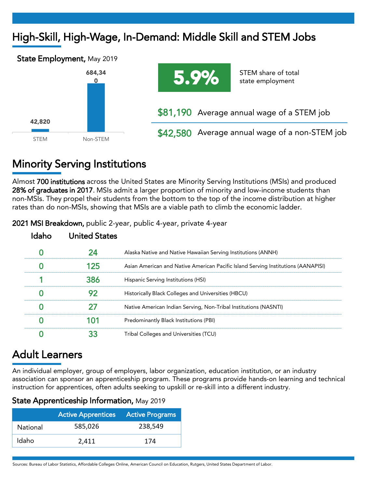## High-Skill, High-Wage, In-Demand: Middle Skill and STEM Jobs





### Minority Serving Institutions

Almost 700 institutions across the United States are Minority Serving Institutions (MSIs) and produced 28% of graduates in 2017. MSIs admit a larger proportion of minority and low-income students than non-MSIs. They propel their students from the bottom to the top of the income distribution at higher rates than do non-MSIs, showing that MSIs are a viable path to climb the economic ladder.

| United States |                                                                                   |
|---------------|-----------------------------------------------------------------------------------|
|               | Alaska Native and Native Hawaiian Serving Institutions (ANNH)                     |
|               | Asian American and Native American Pacific Island Serving Institutions (AANAPISI) |
|               | Hispanic Serving Institutions (HSI)                                               |
|               | Historically Black Colleges and Universities (HBCU)                               |
|               | Native American Indian Serving, Non-Tribal Institutions (NASNTI)                  |
|               | Predominantly Black Institutions (PBI)                                            |
|               | Tribal Colleges and Universities (TCU)                                            |

2021 MSI Breakdown, public 2-year, public 4-year, private 4-year

### Adult Learners

An individual employer, group of employers, labor organization, education institution, or an industry association can sponsor an apprenticeship program. These programs provide hands-on learning and technical instruction for apprentices, often adults seeking to upskill or re-skill into a different industry.

| <b>State Apprenticeship Information, May 2019</b> |  |  |  |
|---------------------------------------------------|--|--|--|
|---------------------------------------------------|--|--|--|

|          | Active Apprentices Active Programs |         |  |  |  |
|----------|------------------------------------|---------|--|--|--|
| National | 585,026                            | 238,549 |  |  |  |
| Idaho    | 2.411                              | 174     |  |  |  |

Sources: Bureau of Labor Statistics, Affordable Colleges Online, American Council on Education, Rutgers, United States Department of Labor.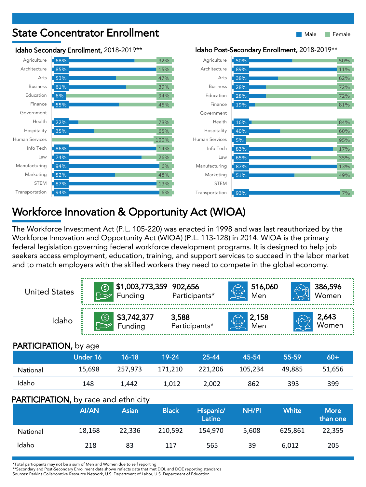

#### Workforce Innovation & Opportunity Act (WIOA)

The Workforce Investment Act (P.L. 105-220) was enacted in 1998 and was last reauthorized by the Workforce Innovation and Opportunity Act (WIOA) (P.L. 113-128) in 2014. WIOA is the primary federal legislation governing federal workforce development programs. It is designed to help job seekers access employment, education, training, and support services to succeed in the labor market and to match employers with the skilled workers they need to compete in the global economy.

| <b>United States</b>                        | $\circledS$   | Funding                           | \$1,003,773,359 902,656 | Participants*       | 516,060<br>Men      |              | 386,596<br>Women |  |
|---------------------------------------------|---------------|-----------------------------------|-------------------------|---------------------|---------------------|--------------|------------------|--|
| Idaho                                       |               | \$3,742,377<br>Funding            | 3,588                   | Participants*       | <b>2,158</b><br>Men |              | 2,643<br>Women   |  |
| <b>PARTICIPATION, by age</b>                |               |                                   |                         |                     |                     |              |                  |  |
|                                             | Under 16      | $16 - 18$                         | 19-24                   | 25-44               | 45-54               | 55-59        | $60+$            |  |
| National                                    | 15,698        | 257,973                           | 171,210                 | 221,206             | 105,234             | 49,885       | 51,656           |  |
| Idaho                                       | 148           | 1,442                             | 1,012                   | 2,002               | 862                 | 393          | 399              |  |
| <b>PARTICIPATION, by race and ethnicity</b> |               |                                   |                         |                     |                     |              |                  |  |
|                                             | <b>AI/ANI</b> | and the state of the state of the | interestent             | $1.12 - 1.22 - 1.4$ | <b>KILL/DI</b>      | $X \times B$ | <b>NALLE</b>     |  |

|          | <b>AI/AN</b> | Asian  | <b>Black</b> | Hispanic/<br>Latino | <b>NH/PI</b> | <b>White</b> | <b>More</b><br>than one |
|----------|--------------|--------|--------------|---------------------|--------------|--------------|-------------------------|
| National | 18,168       | 22.336 | 210.592      | 154.970             | 5,608        | 625.861      | 22,355                  |
| Idaho    | 218          | 83     | 117          | 565                 | 39           | 6.012        | 205                     |

\*Total participants may not be a sum of Men and Women due to self reporting

\*\*Secondary and Post-Secondary Enrollment data shown reflects data that met DOL and DOE reporting standards

Sources: Perkins Collaborative Resource Network, U.S. Department of Labor, U.S. Department of Education.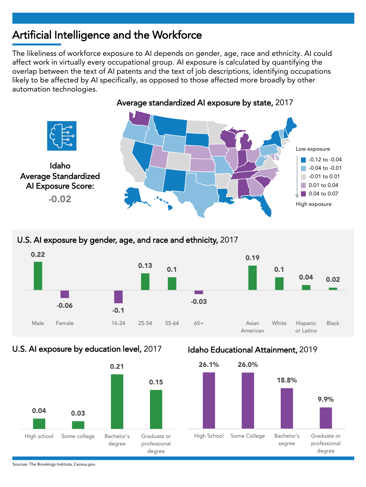#### Artificial Intelligence and the Workforce

The likeliness of workforce exposure to AI depends on gender, age, race and ethnicity. AI could affect work in virtually every occupational group. AI exposure is calculated by quantifying the overlap between the text of AI patents and the text of job descriptions, identifying occupations likely to be affected by AI specifically, as opposed to those affected more broadly by other automation technologies.



#### U.S. AI exposure by gender, age, and race and ethnicity, 2017



#### U.S. AI exposure by education level, 2017



#### Idaho Educational Attainment, 2019



Sources: The Brookings Institute, Census.gov.